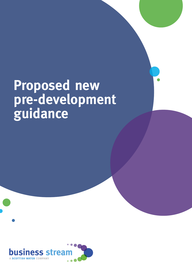# **Proposed new pre-development guidance**

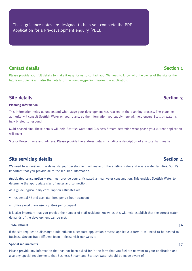These guidance notes are designed to help you complete the PDE – Application for a Pre-development enquiry (PDE).

# **Contact details Section 1**

Please provide your full details to make it easy for us to contact you. We need to know who the owner of the site or the future occupier is and also the details or the company/person making the application.

## **Site details Section 3**

### **Planning information**

This information helps us understand what stage your development has reached in the planning process. The planning authority will consult Scottish Water on your plans, so the information you supply here will help ensure Scottish Water is fully briefed to respond.

Multi-phased site. These details will help Scottish Water and Business Stream determine what phase your current application will cover

Site or Project name and address. Please provide the address details including a description of any local land marks

### **Site servicing details Site servicing details Section 4**

We need to understand the demands your development will make on the existing water and waste water facilities. So, it's important that you provide all to the required information.

**Anticipated consumption –** You must provide your anticipated annual water consumption. This enables Scottish Water to determine the appropriate size of meter and connection.

As a guide, typical daily consumption estimates are:

- residential / hotel use: 180 litres per 24-hour occupant
- office / workplace use: 55 litres per occupant

It is also important that you provide the number of staff residents known as this will help establish that the correct water demands of the development can be met.

### **Trade effluent 4.6**

If the site requires to discharge trade effluent a separate application process applies & a form H will need to be posted to Business Stream Trade Effluent Team – please visit our website

### **Special requirements 4.7**

Please provide any information that has not been asked for in the form that you feel are relevant to your application and also any special requirements that Business Stream and Scottish Water should be made aware of.